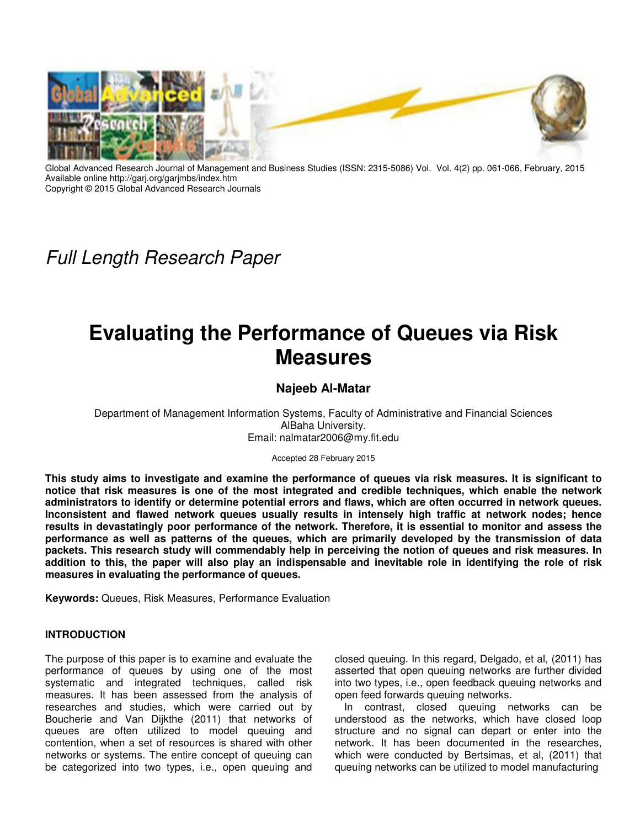

Global Advanced Research Journal of Management and Business Studies (ISSN: 2315-5086) Vol. Vol. 4(2) pp. 061-066, February, 2015 Available online http://garj.org/garjmbs/index.htm Copyright © 2015 Global Advanced Research Journals

## Full Length Research Paper

# **Evaluating the Performance of Queues via Risk Measures**

### **Najeeb Al-Matar**

Department of Management Information Systems, Faculty of Administrative and Financial Sciences AlBaha University. Email: nalmatar2006@my.fit.edu

Accepted 28 February 2015

**This study aims to investigate and examine the performance of queues via risk measures. It is significant to notice that risk measures is one of the most integrated and credible techniques, which enable the network administrators to identify or determine potential errors and flaws, which are often occurred in network queues. Inconsistent and flawed network queues usually results in intensely high traffic at network nodes; hence results in devastatingly poor performance of the network. Therefore, it is essential to monitor and assess the performance as well as patterns of the queues, which are primarily developed by the transmission of data packets. This research study will commendably help in perceiving the notion of queues and risk measures. In addition to this, the paper will also play an indispensable and inevitable role in identifying the role of risk measures in evaluating the performance of queues.** 

**Keywords:** Queues, Risk Measures, Performance Evaluation

#### **INTRODUCTION**

The purpose of this paper is to examine and evaluate the performance of queues by using one of the most systematic and integrated techniques, called risk measures. It has been assessed from the analysis of researches and studies, which were carried out by Boucherie and Van Dijkthe (2011) that networks of queues are often utilized to model queuing and contention, when a set of resources is shared with other networks or systems. The entire concept of queuing can be categorized into two types, i.e., open queuing and

closed queuing. In this regard, Delgado, et al, (2011) has asserted that open queuing networks are further divided into two types, i.e., open feedback queuing networks and open feed forwards queuing networks.

In contrast, closed queuing networks can be understood as the networks, which have closed loop structure and no signal can depart or enter into the network. It has been documented in the researches, which were conducted by Bertsimas, et al, (2011) that queuing networks can be utilized to model manufacturing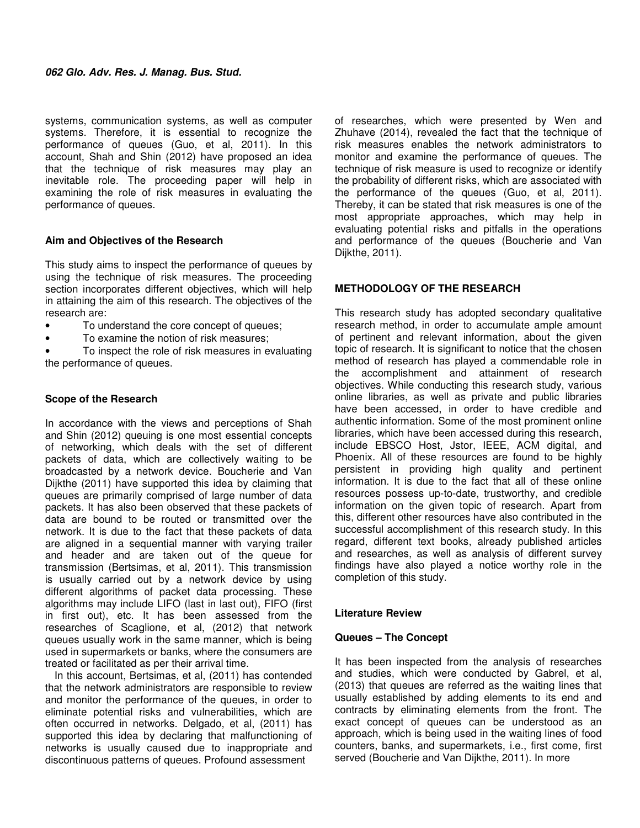systems, communication systems, as well as computer systems. Therefore, it is essential to recognize the performance of queues (Guo, et al, 2011). In this account, Shah and Shin (2012) have proposed an idea that the technique of risk measures may play an inevitable role. The proceeding paper will help in examining the role of risk measures in evaluating the performance of queues.

#### **Aim and Objectives of the Research**

This study aims to inspect the performance of queues by using the technique of risk measures. The proceeding section incorporates different objectives, which will help in attaining the aim of this research. The objectives of the research are:

- To understand the core concept of queues;
- To examine the notion of risk measures;

To inspect the role of risk measures in evaluating the performance of queues.

#### **Scope of the Research**

In accordance with the views and perceptions of Shah and Shin (2012) queuing is one most essential concepts of networking, which deals with the set of different packets of data, which are collectively waiting to be broadcasted by a network device. Boucherie and Van Dijkthe (2011) have supported this idea by claiming that queues are primarily comprised of large number of data packets. It has also been observed that these packets of data are bound to be routed or transmitted over the network. It is due to the fact that these packets of data are aligned in a sequential manner with varying trailer and header and are taken out of the queue for transmission (Bertsimas, et al, 2011). This transmission is usually carried out by a network device by using different algorithms of packet data processing. These algorithms may include LIFO (last in last out), FIFO (first in first out), etc. It has been assessed from the researches of Scaglione, et al, (2012) that network queues usually work in the same manner, which is being used in supermarkets or banks, where the consumers are treated or facilitated as per their arrival time.

In this account, Bertsimas, et al, (2011) has contended that the network administrators are responsible to review and monitor the performance of the queues, in order to eliminate potential risks and vulnerabilities, which are often occurred in networks. Delgado, et al, (2011) has supported this idea by declaring that malfunctioning of networks is usually caused due to inappropriate and discontinuous patterns of queues. Profound assessment

of researches, which were presented by Wen and Zhuhave (2014), revealed the fact that the technique of risk measures enables the network administrators to monitor and examine the performance of queues. The technique of risk measure is used to recognize or identify the probability of different risks, which are associated with the performance of the queues (Guo, et al, 2011). Thereby, it can be stated that risk measures is one of the most appropriate approaches, which may help in evaluating potential risks and pitfalls in the operations and performance of the queues (Boucherie and Van Dijkthe, 2011).

#### **METHODOLOGY OF THE RESEARCH**

This research study has adopted secondary qualitative research method, in order to accumulate ample amount of pertinent and relevant information, about the given topic of research. It is significant to notice that the chosen method of research has played a commendable role in the accomplishment and attainment of research objectives. While conducting this research study, various online libraries, as well as private and public libraries have been accessed, in order to have credible and authentic information. Some of the most prominent online libraries, which have been accessed during this research, include EBSCO Host, Jstor, IEEE, ACM digital, and Phoenix. All of these resources are found to be highly persistent in providing high quality and pertinent information. It is due to the fact that all of these online resources possess up-to-date, trustworthy, and credible information on the given topic of research. Apart from this, different other resources have also contributed in the successful accomplishment of this research study. In this regard, different text books, already published articles and researches, as well as analysis of different survey findings have also played a notice worthy role in the completion of this study.

#### **Literature Review**

#### **Queues – The Concept**

It has been inspected from the analysis of researches and studies, which were conducted by Gabrel, et al, (2013) that queues are referred as the waiting lines that usually established by adding elements to its end and contracts by eliminating elements from the front. The exact concept of queues can be understood as an approach, which is being used in the waiting lines of food counters, banks, and supermarkets, i.e., first come, first served (Boucherie and Van Dijkthe, 2011). In more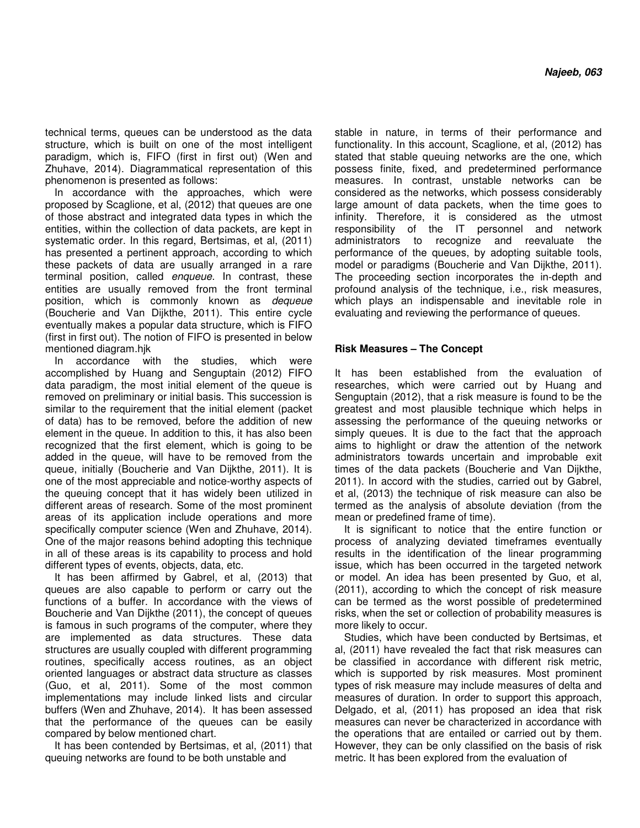technical terms, queues can be understood as the data structure, which is built on one of the most intelligent paradigm, which is, FIFO (first in first out) (Wen and Zhuhave, 2014). Diagrammatical representation of this phenomenon is presented as follows:

In accordance with the approaches, which were proposed by Scaglione, et al, (2012) that queues are one of those abstract and integrated data types in which the entities, within the collection of data packets, are kept in systematic order. In this regard, Bertsimas, et al, (2011) has presented a pertinent approach, according to which these packets of data are usually arranged in a rare terminal position, called enqueue. In contrast, these entities are usually removed from the front terminal position, which is commonly known as dequeue (Boucherie and Van Dijkthe, 2011). This entire cycle eventually makes a popular data structure, which is FIFO (first in first out). The notion of FIFO is presented in below mentioned diagram.hjk

In accordance with the studies, which were accomplished by Huang and Senguptain (2012) FIFO data paradigm, the most initial element of the queue is removed on preliminary or initial basis. This succession is similar to the requirement that the initial element (packet of data) has to be removed, before the addition of new element in the queue. In addition to this, it has also been recognized that the first element, which is going to be added in the queue, will have to be removed from the queue, initially (Boucherie and Van Dijkthe, 2011). It is one of the most appreciable and notice-worthy aspects of the queuing concept that it has widely been utilized in different areas of research. Some of the most prominent areas of its application include operations and more specifically computer science (Wen and Zhuhave, 2014). One of the major reasons behind adopting this technique in all of these areas is its capability to process and hold different types of events, objects, data, etc.

It has been affirmed by Gabrel, et al, (2013) that queues are also capable to perform or carry out the functions of a buffer. In accordance with the views of Boucherie and Van Dijkthe (2011), the concept of queues is famous in such programs of the computer, where they are implemented as data structures. These data structures are usually coupled with different programming routines, specifically access routines, as an object oriented languages or abstract data structure as classes (Guo, et al, 2011). Some of the most common implementations may include linked lists and circular buffers (Wen and Zhuhave, 2014). It has been assessed that the performance of the queues can be easily compared by below mentioned chart.

It has been contended by Bertsimas, et al, (2011) that queuing networks are found to be both unstable and

stable in nature, in terms of their performance and functionality. In this account, Scaglione, et al, (2012) has stated that stable queuing networks are the one, which possess finite, fixed, and predetermined performance measures. In contrast, unstable networks can be considered as the networks, which possess considerably large amount of data packets, when the time goes to infinity. Therefore, it is considered as the utmost responsibility of the IT personnel and network administrators to recognize and reevaluate the performance of the queues, by adopting suitable tools, model or paradigms (Boucherie and Van Dijkthe, 2011). The proceeding section incorporates the in-depth and profound analysis of the technique, i.e., risk measures, which plays an indispensable and inevitable role in evaluating and reviewing the performance of queues.

#### **Risk Measures – The Concept**

It has been established from the evaluation of researches, which were carried out by Huang and Senguptain (2012), that a risk measure is found to be the greatest and most plausible technique which helps in assessing the performance of the queuing networks or simply queues. It is due to the fact that the approach aims to highlight or draw the attention of the network administrators towards uncertain and improbable exit times of the data packets (Boucherie and Van Dijkthe, 2011). In accord with the studies, carried out by Gabrel, et al, (2013) the technique of risk measure can also be termed as the analysis of absolute deviation (from the mean or predefined frame of time).

It is significant to notice that the entire function or process of analyzing deviated timeframes eventually results in the identification of the linear programming issue, which has been occurred in the targeted network or model. An idea has been presented by Guo, et al, (2011), according to which the concept of risk measure can be termed as the worst possible of predetermined risks, when the set or collection of probability measures is more likely to occur.

Studies, which have been conducted by Bertsimas, et al, (2011) have revealed the fact that risk measures can be classified in accordance with different risk metric, which is supported by risk measures. Most prominent types of risk measure may include measures of delta and measures of duration. In order to support this approach, Delgado, et al, (2011) has proposed an idea that risk measures can never be characterized in accordance with the operations that are entailed or carried out by them. However, they can be only classified on the basis of risk metric. It has been explored from the evaluation of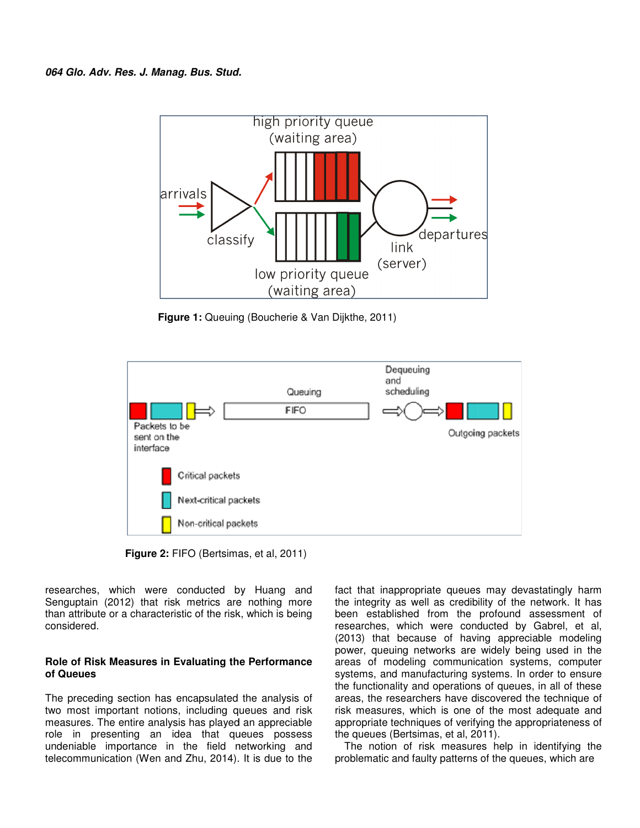

**Figure 1:** Queuing (Boucherie & Van Dijkthe, 2011)



**Figure 2:** FIFO (Bertsimas, et al, 2011)

researches, which were conducted by Huang and Senguptain (2012) that risk metrics are nothing more researches, which were conducted by Huang and<br>Senguptain (2012) that risk metrics are nothing more<br>than attribute<code>or</code> a characteristic of the<code>risk</code>,which is being considered.

#### **Role of Risk Measures in Evaluating the Performance he of Queues**

The preceding section has encapsulated the analysis of two most important notions, including queues and risk measures. The entire analysis has played an appreciable role in presenting an idea that queues possess undeniable importance in the field networking and telecommunication (Wen and Zhu, 2014). It is due to the

researches, which were conducted by Huang and<br>
Senguptain (2012) that risk metrics are nothing more the integrity as well as credibility of the network. It has<br>
than attribute or a characteristic of the risk, which is bein the integrity as well as credibility of the network. It has fact that inappropriate queues may devastatingly harm<br>the integrity as well as credibility of the network. It has<br>been established from the profound assessment of researches, which were conducted by Gabrel, et al, (2013) that because of having appreciable modeling power, queuing networks are widely being used in the areas of modeling communication systems, computer systems, and manufacturing systems. In order to ensure the functionality and operations of queues, in all of these areas, the researchers have discovered the technique of risk measures, which is one of the most adequate and appropriate techniques of verifying the appropriateness of the queues (Bertsimas, et al, 2011). (2013) that because of having appreciable modeling<br>power, queuing networks are widely being used in the<br>areas of modeling communication systems, computer<br>systems, and manufacturing systems. In order to ensure the functionality and operations of queues, in<br>areas, the researchers have discovered the te<br>risk measures, which is one of the most ade<br>appropriate techniques of verifying the appropr<br>the queues (Bertsimas, et al, 2011).

The notion of risk measures help in identifying the The notion of risk measures help in identifying the problematic and faulty patterns of the queues, which are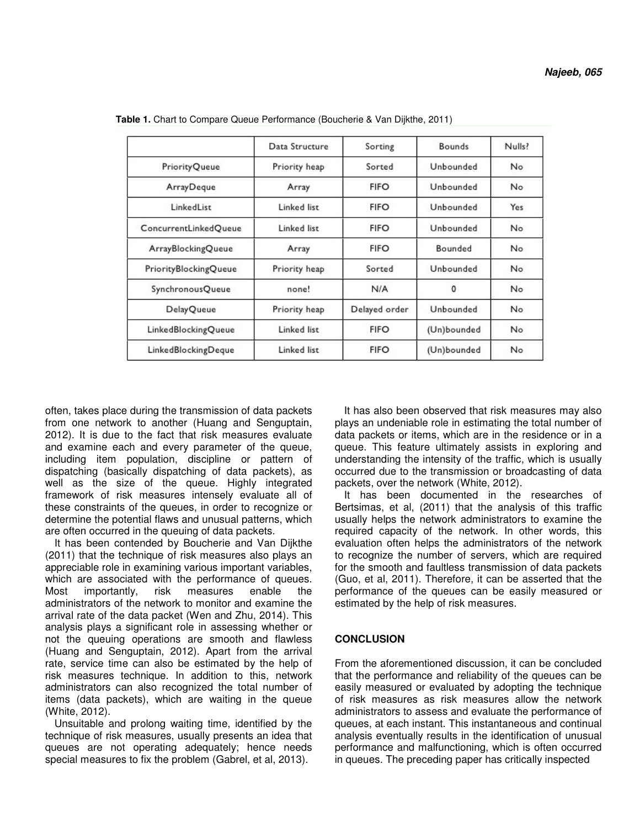|                       | Data Structure | Sorting       | <b>Bounds</b> | Nulls? |
|-----------------------|----------------|---------------|---------------|--------|
| <b>PriorityQueue</b>  | Priority heap  | Sorted        | Unbounded     | No     |
| ArrayDeque            | Array          | <b>FIFO</b>   | Unbounded     | No     |
| LinkedList            | Linked list    | <b>FIFO</b>   | Unbounded     | Yes    |
| ConcurrentLinkedQueue | Linked list    | <b>FIFO</b>   | Unbounded     | No     |
| ArrayBlockingQueue    | Array          | <b>FIFO</b>   | Bounded       | No     |
| PriorityBlockingQueue | Priority heap  | Sorted        | Unbounded     | No     |
| SynchronousQueue      | none!          | N/A           | 0             | No     |
| <b>DelayQueue</b>     | Priority heap  | Delayed order | Unbounded     | No     |
| LinkedBlockingQueue   | Linked list    | <b>FIFO</b>   | (Un)bounded   | No     |
| LinkedBlockingDeque   | Linked list    | <b>FIFO</b>   | (Un)bounded   | No     |

**Table 1.** Chart to Compare Queue Performance (Boucherie & Van Dijkthe, 2011)

often, takes place during the transmission of data packets from one network to another (Huang and Senguptain, 2012). It is due to the fact that risk measures evaluate and examine each and every parameter of the queue, including item population, discipline or pattern of dispatching (basically dispatching of data packets), as well as the size of the queue. Highly integrated framework of risk measures intensely evaluate all of these constraints of the queues, in order to recognize or determine the potential flaws and unusual patterns, which are often occurred in the queuing of data packets.

It has been contended by Boucherie and Van Dijkthe (2011) that the technique of risk measures also plays an appreciable role in examining various important variables, which are associated with the performance of queues. Most importantly, risk measures enable the administrators of the network to monitor and examine the arrival rate of the data packet (Wen and Zhu, 2014). This analysis plays a significant role in assessing whether or not the queuing operations are smooth and flawless (Huang and Senguptain, 2012). Apart from the arrival rate, service time can also be estimated by the help of risk measures technique. In addition to this, network administrators can also recognized the total number of items (data packets), which are waiting in the queue (White, 2012).

Unsuitable and prolong waiting time, identified by the technique of risk measures, usually presents an idea that queues are not operating adequately; hence needs special measures to fix the problem (Gabrel, et al, 2013).

It has also been observed that risk measures may also plays an undeniable role in estimating the total number of data packets or items, which are in the residence or in a queue. This feature ultimately assists in exploring and understanding the intensity of the traffic, which is usually occurred due to the transmission or broadcasting of data packets, over the network (White, 2012).

It has been documented in the researches of Bertsimas, et al, (2011) that the analysis of this traffic usually helps the network administrators to examine the required capacity of the network. In other words, this evaluation often helps the administrators of the network to recognize the number of servers, which are required for the smooth and faultless transmission of data packets (Guo, et al, 2011). Therefore, it can be asserted that the performance of the queues can be easily measured or estimated by the help of risk measures.

#### **CONCLUSION**

From the aforementioned discussion, it can be concluded that the performance and reliability of the queues can be easily measured or evaluated by adopting the technique of risk measures as risk measures allow the network administrators to assess and evaluate the performance of queues, at each instant. This instantaneous and continual analysis eventually results in the identification of unusual performance and malfunctioning, which is often occurred in queues. The preceding paper has critically inspected